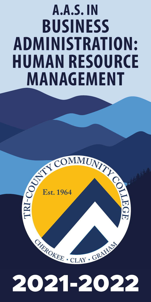## **A.A.S. IN BUSINESS ADMINISTRATION: HUMAN RESOURCE MANAGEMENT**



# 2021-2022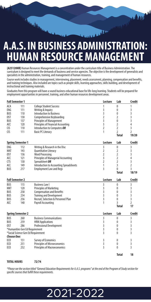### **A.A.S. IN BUSINESS ADMINISTRATION: HUMAN RESOURCE MANAGEMEN**

**(A25120HR)** Human Resources Management is a concentration under the curriculum title of Business Administration. The curriculum is designed to meet the demands of business and service agencies. The objective is the development of generalists and specialists in the administration, training, and management of human resources.

Course work includes studies in management, interviewing, placement, needs assessment, planning, compensation and benefits, and training techniques. Also included are topics such as people skills, learning approaches, skills building, and development of instructional and training materials.

Graduates from this program will have a sound business educational base for life-long learning. Students will be prepared for employment opportunities in personnel, training, and other human resources development areas.

| <b>Fall Semester 1</b>                                               |     | Lecture                                    | Lab            | <b>Credit</b>  |                |
|----------------------------------------------------------------------|-----|--------------------------------------------|----------------|----------------|----------------|
| ACA                                                                  | 111 | <b>College Student Success</b>             | 1              | $\mathbf 0$    | 1              |
| ENG                                                                  | 111 | Writing & Inquiry                          | 3              | $\mathbf 0$    | 3              |
| <b>BUS</b>                                                           | 110 | <b>Introduction to Business</b>            | $\overline{3}$ | $\mathbf 0$    | 3              |
| 0ST                                                                  | 130 | Comprehensive Keyboarding                  | $\overline{2}$ | $\overline{2}$ | 3              |
| <b>BUS</b>                                                           | 137 | <b>Principles of Management</b>            | 3              | $\mathbf{0}$   | 3              |
| ACC                                                                  | 120 | <b>Principles of Financial Accounting</b>  | $\overline{3}$ | $\overline{2}$ | $\overline{4}$ |
| <b>CIS</b>                                                           | 110 | Introduction to Computers OR               | $\overline{2}$ | $\overline{2}$ | 3              |
| <b>CIS</b>                                                           | 111 | <b>Basic PC Literacy</b>                   | 1              | $\overline{2}$ | 2              |
|                                                                      |     |                                            |                | <b>Total</b>   | 19/20          |
| <b>Spring Semester 1</b>                                             |     |                                            | Lecture        | Lab            | <b>Credit</b>  |
| <b>ENG</b>                                                           | 112 | Writing & Research in the Disc             | 3              | $\mathbf 0$    | 3              |
| MAT                                                                  | 143 | Quantitative Literacy                      | $\overline{2}$ | $\overline{2}$ | 3              |
| 0ST                                                                  | 136 | <b>Word Processing</b>                     | $\overline{2}$ | $\overline{2}$ | 3              |
| ACC                                                                  | 121 | <b>Principles of Managerial Accounting</b> | 3              | $\overline{2}$ | 4              |
| <b>CTS</b>                                                           | 130 | Spreadsheet OR                             | $\overline{2}$ | $\overline{2}$ | 3              |
| ACC                                                                  | 149 | Introduction to Accounting Spreadsheets    | 1              | 3              | $\overline{2}$ |
| BUS                                                                  | 217 | <b>Employment Law and Regs</b>             | $\overline{3}$ | $\theta$       | 3              |
|                                                                      |     |                                            |                | <b>Total</b>   | 18/19          |
| <b>Fall Semester 2</b>                                               |     |                                            | Lecture        | Lab            | Credit         |
| <b>BUS</b>                                                           | 115 | <b>Business Law I</b>                      | $\overline{3}$ | $\pmb{0}$      | 3              |
| <b>MKT</b>                                                           | 120 | <b>Principles of Marketing</b>             | 3              | 0              | 3              |
| <b>BUS</b>                                                           | 258 | <b>Compensation and Benefits</b>           | 3              | 0              | 3              |
| <b>BUS</b>                                                           | 234 | <b>Training and Development</b>            | $\overline{3}$ | $\mathbf{0}$   | $\overline{3}$ |
| <b>BUS</b>                                                           | 256 | Recruit, Selection & Personnel Plan        | 3              | $\mathbf{0}$   | 3              |
| ACC                                                                  | 140 | <b>Payroll Accounting</b>                  | 1              | ξ              | 2              |
|                                                                      |     |                                            |                | <b>Total</b>   | 17             |
| <b>Spring Semester 2</b>                                             |     |                                            | Lecture        | Lab            | <b>Credit</b>  |
| <b>BUS</b>                                                           | 260 | <b>Business Communications</b>             | $\overline{3}$ | $\mathbf 0$    | 3              |
| <b>BUS</b>                                                           | 259 | <b>HRM Applications</b>                    | 3              | $\mathbf 0$    | $\overline{3}$ |
| 0ST                                                                  | 286 | <b>Professional Development</b>            | 3              | 0              | 3              |
|                                                                      |     |                                            | 3              | 0              | 3              |
| *Humanities Gen Ed Requirement<br>*Social Science Gen Ed Requirement |     |                                            | 3              | 0              | 3              |
| <b>Choose One:</b>                                                   |     |                                            |                |                |                |
| EC <sub>0</sub>                                                      | 151 | <b>Survey of Economics</b>                 | 3              | $\mathbf 0$    | 3              |
| EC <sub>0</sub>                                                      | 251 | <b>Principles of Microeconomics</b>        | $\overline{3}$ | $\mathbf{0}$   | 3              |
| EC <sub>0</sub>                                                      | 252 | <b>Principles of Macroeconomics</b>        | $\overline{3}$ | $\theta$       | 3              |
|                                                                      |     |                                            |                |                |                |
|                                                                      |     |                                            |                | <b>Total</b>   | 18             |

**TOTAL HOURS 72/74**

*\*Please see the section titled "General Education Requirements for A.A.S. programs" at the end of the Program of Study section for specific courses that fulfill these requirements.*

#### 2021-2022